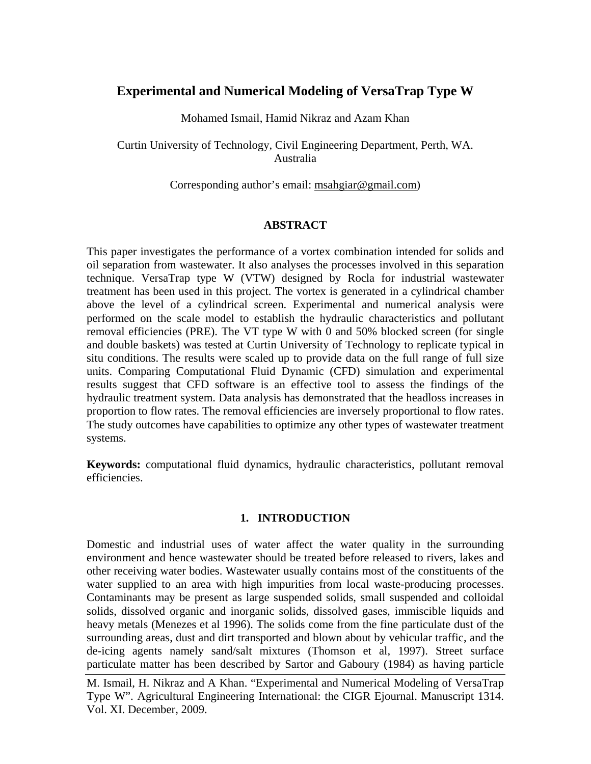# **Experimental and Numerical Modeling of VersaTrap Type W**

Mohamed Ismail, Hamid Nikraz and Azam Khan

Curtin University of Technology, Civil Engineering Department, Perth, WA. Australia

Corresponding author's email: [msahgiar@gmail.com\)](mailto:msahgiar@gmail.com)

# **ABSTRACT**

This paper investigates the performance of a vortex combination intended for solids and oil separation from wastewater. It also analyses the processes involved in this separation technique. VersaTrap type W (VTW) designed by Rocla for industrial wastewater treatment has been used in this project. The vortex is generated in a cylindrical chamber above the level of a cylindrical screen. Experimental and numerical analysis were performed on the scale model to establish the hydraulic characteristics and pollutant removal efficiencies (PRE). The VT type W with 0 and 50% blocked screen (for single and double baskets) was tested at Curtin University of Technology to replicate typical in situ conditions. The results were scaled up to provide data on the full range of full size units. Comparing Computational Fluid Dynamic (CFD) simulation and experimental results suggest that CFD software is an effective tool to assess the findings of the hydraulic treatment system. Data analysis has demonstrated that the headloss increases in proportion to flow rates. The removal efficiencies are inversely proportional to flow rates. The study outcomes have capabilities to optimize any other types of wastewater treatment systems.

**Keywords:** computational fluid dynamics, hydraulic characteristics, pollutant removal efficiencies.

# **1. INTRODUCTION**

Domestic and industrial uses of water affect the water quality in the surrounding environment and hence wastewater should be treated before released to rivers, lakes and other receiving water bodies. Wastewater usually contains most of the constituents of the water supplied to an area with high impurities from local waste-producing processes. Contaminants may be present as large suspended solids, small suspended and colloidal solids, dissolved organic and inorganic solids, dissolved gases, immiscible liquids and heavy metals (Menezes et al 1996). The solids come from the fine particulate dust of the surrounding areas, dust and dirt transported and blown about by vehicular traffic, and the de-icing agents namely sand/salt mixtures (Thomson et al, 1997). Street surface particulate matter has been described by Sartor and Gaboury (1984) as having particle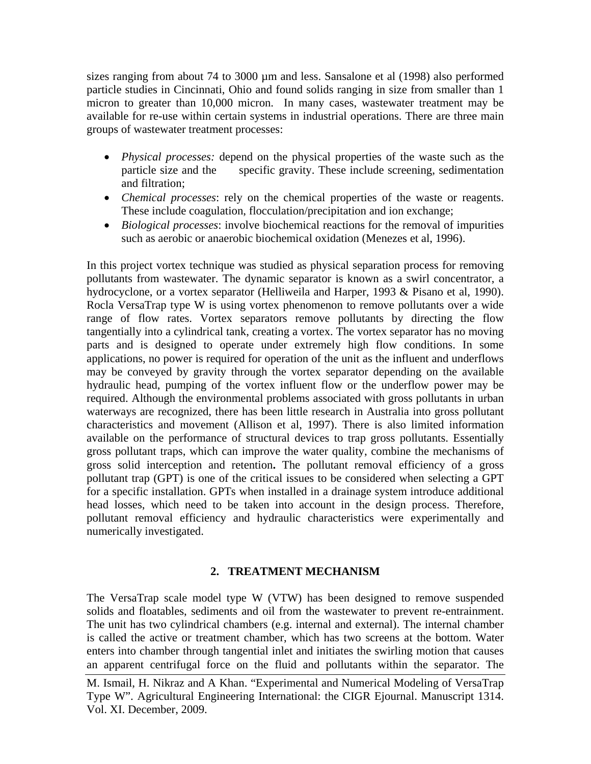sizes ranging from about 74 to 3000  $\mu$ m and less. Sansalone et al (1998) also performed particle studies in Cincinnati, Ohio and found solids ranging in size from smaller than 1 micron to greater than 10,000 micron. In many cases, wastewater treatment may be available for re-use within certain systems in industrial operations. There are three main groups of wastewater treatment processes:

- *Physical processes:* depend on the physical properties of the waste such as the particle size and the specific gravity. These include screening, sedimentation and filtration;
- *Chemical processes*: rely on the chemical properties of the waste or reagents. These include coagulation, flocculation/precipitation and ion exchange;
- *Biological processes*: involve biochemical reactions for the removal of impurities such as aerobic or anaerobic biochemical oxidation (Menezes et al, 1996).

In this project vortex technique was studied as physical separation process for removing pollutants from wastewater. The dynamic separator is known as a swirl concentrator, a hydrocyclone, or a vortex separator (Helliweila and Harper, 1993 & Pisano et al, 1990). Rocla VersaTrap type W is using vortex phenomenon to remove pollutants over a wide range of flow rates. Vortex separators remove pollutants by directing the flow tangentially into a cylindrical tank, creating a vortex. The vortex separator has no moving parts and is designed to operate under extremely high flow conditions. In some applications, no power is required for operation of the unit as the influent and underflows may be conveyed by gravity through the vortex separator depending on the available hydraulic head, pumping of the vortex influent flow or the underflow power may be required. Although the environmental problems associated with gross pollutants in urban waterways are recognized, there has been little research in Australia into gross pollutant characteristics and movement (Allison et al, 1997). There is also limited information available on the performance of structural devices to trap gross pollutants. Essentially gross pollutant traps, which can improve the water quality, combine the mechanisms of gross solid interception and retention**.** The pollutant removal efficiency of a gross pollutant trap (GPT) is one of the critical issues to be considered when selecting a GPT for a specific installation. GPTs when installed in a drainage system introduce additional head losses, which need to be taken into account in the design process. Therefore, pollutant removal efficiency and hydraulic characteristics were experimentally and numerically investigated.

# **2. TREATMENT MECHANISM**

The VersaTrap scale model type W (VTW) has been designed to remove suspended solids and floatables, sediments and oil from the wastewater to prevent re-entrainment. The unit has two cylindrical chambers (e.g. internal and external). The internal chamber is called the active or treatment chamber, which has two screens at the bottom. Water enters into chamber through tangential inlet and initiates the swirling motion that causes an apparent centrifugal force on the fluid and pollutants within the separator. The

M. Ismail, H. Nikraz and A Khan. "Experimental and Numerical Modeling of VersaTrap Type W". Agricultural Engineering International: the CIGR Ejournal. Manuscript 1314. Vol. XI. December, 2009.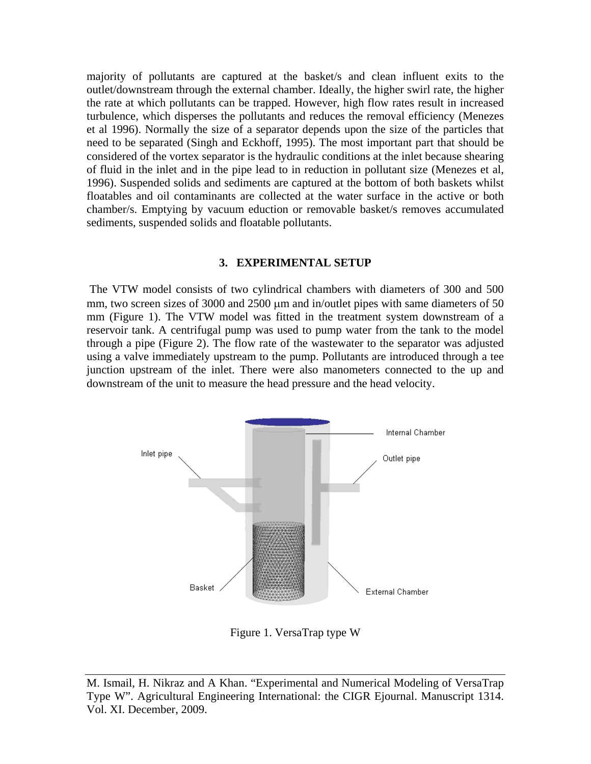majority of pollutants are captured at the basket/s and clean influent exits to the outlet/downstream through the external chamber. Ideally, the higher swirl rate, the higher the rate at which pollutants can be trapped. However, high flow rates result in increased turbulence, which disperses the pollutants and reduces the removal efficiency (Menezes et al 1996). Normally the size of a separator depends upon the size of the particles that need to be separated (Singh and Eckhoff, 1995). The most important part that should be considered of the vortex separator is the hydraulic conditions at the inlet because shearing of fluid in the inlet and in the pipe lead to in reduction in pollutant size (Menezes et al, 1996). Suspended solids and sediments are captured at the bottom of both baskets whilst floatables and oil contaminants are collected at the water surface in the active or both chamber/s. Emptying by vacuum eduction or removable basket/s removes accumulated sediments, suspended solids and floatable pollutants.

#### **3. EXPERIMENTAL SETUP**

The VTW model consists of two cylindrical chambers with diameters of 300 and 500 mm, two screen sizes of 3000 and 2500  $\mu$ m and in/outlet pipes with same diameters of 50 mm (Figure 1). The VTW model was fitted in the treatment system downstream of a reservoir tank. A centrifugal pump was used to pump water from the tank to the model through a pipe (Figure 2). The flow rate of the wastewater to the separator was adjusted using a valve immediately upstream to the pump. Pollutants are introduced through a tee junction upstream of the inlet. There were also manometers connected to the up and downstream of the unit to measure the head pressure and the head velocity.



Figure 1. VersaTrap type W

M. Ismail, H. Nikraz and A Khan. "Experimental and Numerical Modeling of VersaTrap Type W". Agricultural Engineering International: the CIGR Ejournal. Manuscript 1314. Vol. XI. December, 2009.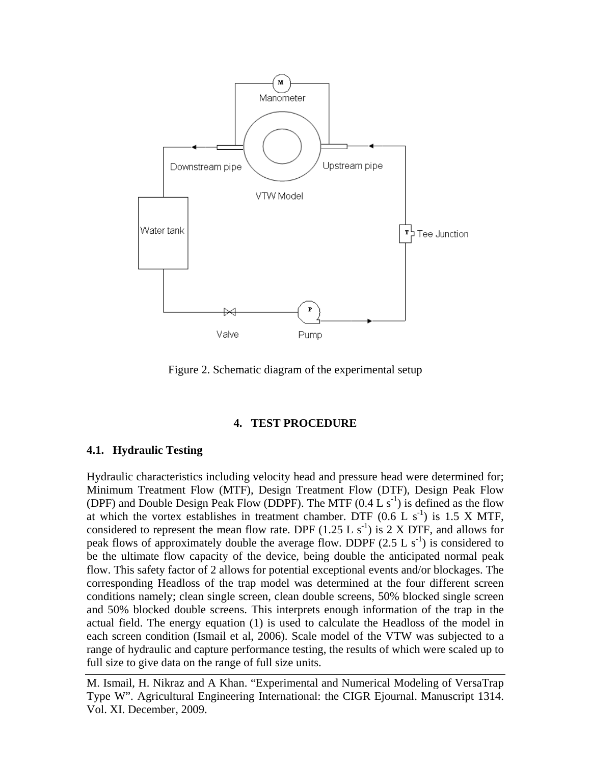

Figure 2. Schematic diagram of the experimental setup

#### **4. TEST PROCEDURE**

#### **4.1. Hydraulic Testing**

Hydraulic characteristics including velocity head and pressure head were determined for; Minimum Treatment Flow (MTF), Design Treatment Flow (DTF), Design Peak Flow (DPF) and Double Design Peak Flow (DDPF). The MTF  $(0.4 L s<sup>-1</sup>)$  is defined as the flow at which the vortex establishes in treatment chamber. DTF  $(0.6 \ L s^{-1})$  is 1.5 X MTF, considered to represent the mean flow rate. DPF  $(1.25 L s<sup>-1</sup>)$  is 2 X DTF, and allows for peak flows of approximately double the average flow. DDPF  $(2.5 L s<sup>-1</sup>)$  is considered to be the ultimate flow capacity of the device, being double the anticipated normal peak flow. This safety factor of 2 allows for potential exceptional events and/or blockages. The corresponding Headloss of the trap model was determined at the four different screen conditions namely; clean single screen, clean double screens, 50% blocked single screen and 50% blocked double screens. This interprets enough information of the trap in the actual field. The energy equation (1) is used to calculate the Headloss of the model in each screen condition (Ismail et al, 2006). Scale model of the VTW was subjected to a range of hydraulic and capture performance testing, the results of which were scaled up to full size to give data on the range of full size units.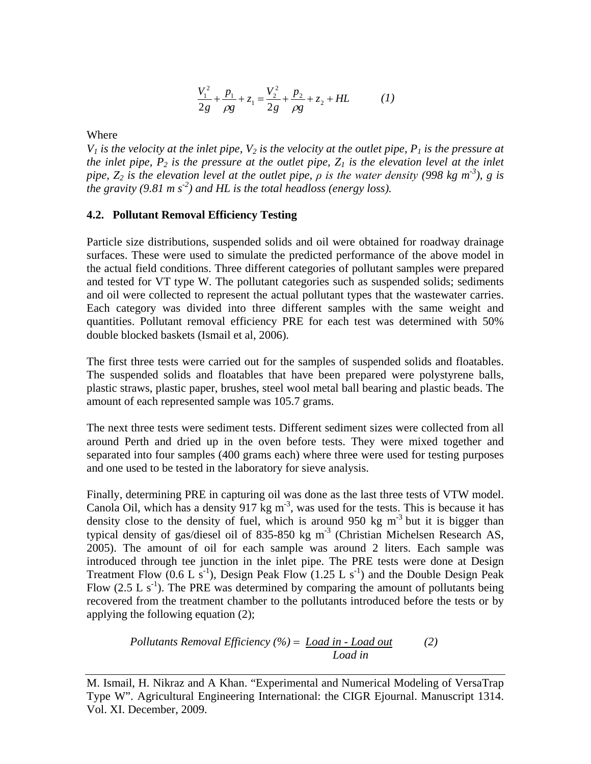$$
\frac{V_1^2}{2g} + \frac{p_1}{\rho g} + z_1 = \frac{V_2^2}{2g} + \frac{p_2}{\rho g} + z_2 + HL \tag{1}
$$

Where

 $V_1$  *is the velocity at the inlet pipe,*  $V_2$  *is the velocity at the outlet pipe,*  $P_1$  *is the pressure at the inlet pipe,*  $P_2$  *is the pressure at the outlet pipe,*  $Z_1$  *is the elevation level at the inlet pipe, Z<sub>2</sub> is the elevation level at the outlet pipe,*  $\rho$  *is the water density (998 kg m<sup>-3</sup>), g is the gravity (9.81 m s-2 ) and HL is the total headloss (energy loss).*

#### **4.2. Pollutant Removal Efficiency Testing**

Particle size distributions, suspended solids and oil were obtained for roadway drainage surfaces. These were used to simulate the predicted performance of the above model in the actual field conditions. Three different categories of pollutant samples were prepared and tested for VT type W. The pollutant categories such as suspended solids; sediments and oil were collected to represent the actual pollutant types that the wastewater carries. Each category was divided into three different samples with the same weight and quantities. Pollutant removal efficiency PRE for each test was determined with 50% double blocked baskets (Ismail et al, 2006).

The first three tests were carried out for the samples of suspended solids and floatables. The suspended solids and floatables that have been prepared were polystyrene balls, plastic straws, plastic paper, brushes, steel wool metal ball bearing and plastic beads. The amount of each represented sample was 105.7 grams.

The next three tests were sediment tests. Different sediment sizes were collected from all around Perth and dried up in the oven before tests. They were mixed together and separated into four samples (400 grams each) where three were used for testing purposes and one used to be tested in the laboratory for sieve analysis.

Finally, determining PRE in capturing oil was done as the last three tests of VTW model. Canola Oil, which has a density  $917 \text{ kg m}^3$ , was used for the tests. This is because it has density close to the density of fuel, which is around 950 kg  $m<sup>-3</sup>$  but it is bigger than typical density of gas/diesel oil of 835-850 kg  $m<sup>-3</sup>$  (Christian Michelsen Research AS, 2005). The amount of oil for each sample was around 2 liters. Each sample was introduced through tee junction in the inlet pipe. The PRE tests were done at Design Treatment Flow  $(0.6 L s^{-1})$ , Design Peak Flow  $(1.25 L s^{-1})$  and the Double Design Peak Flow  $(2.5 L s<sup>-1</sup>)$ . The PRE was determined by comparing the amount of pollutants being recovered from the treatment chamber to the pollutants introduced before the tests or by applying the following equation (2);

$$
Pollutants Removal Efficiency (%) = Load in - Load out
$$
 (2)  
Load in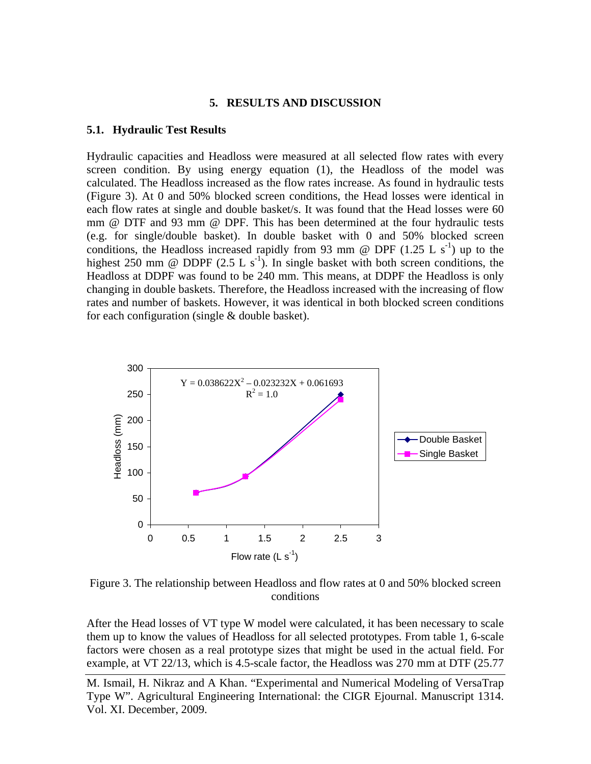#### **5. RESULTS AND DISCUSSION**

#### **5.1. Hydraulic Test Results**

Hydraulic capacities and Headloss were measured at all selected flow rates with every screen condition. By using energy equation (1), the Headloss of the model was calculated. The Headloss increased as the flow rates increase. As found in hydraulic tests (Figure 3). At 0 and 50% blocked screen conditions, the Head losses were identical in each flow rates at single and double basket/s. It was found that the Head losses were 60 mm @ DTF and 93 mm @ DPF. This has been determined at the four hydraulic tests (e.g. for single/double basket). In double basket with 0 and 50% blocked screen conditions, the Headloss increased rapidly from 93 mm @ DPF  $(1.25 \text{ L s}^{-1})$  up to the highest 250 mm @ DDPF  $(2.5 L s<sup>-1</sup>)$ . In single basket with both screen conditions, the Headloss at DDPF was found to be 240 mm. This means, at DDPF the Headloss is only changing in double baskets. Therefore, the Headloss increased with the increasing of flow rates and number of baskets. However, it was identical in both blocked screen conditions for each configuration (single & double basket).



Figure 3. The relationship between Headloss and flow rates at 0 and 50% blocked screen conditions

After the Head losses of VT type W model were calculated, it has been necessary to scale them up to know the values of Headloss for all selected prototypes. From table 1, 6-scale factors were chosen as a real prototype sizes that might be used in the actual field. For example, at VT 22/13, which is 4.5-scale factor, the Headloss was 270 mm at DTF (25.77

M. Ismail, H. Nikraz and A Khan. "Experimental and Numerical Modeling of VersaTrap Type W". Agricultural Engineering International: the CIGR Ejournal. Manuscript 1314. Vol. XI. December, 2009.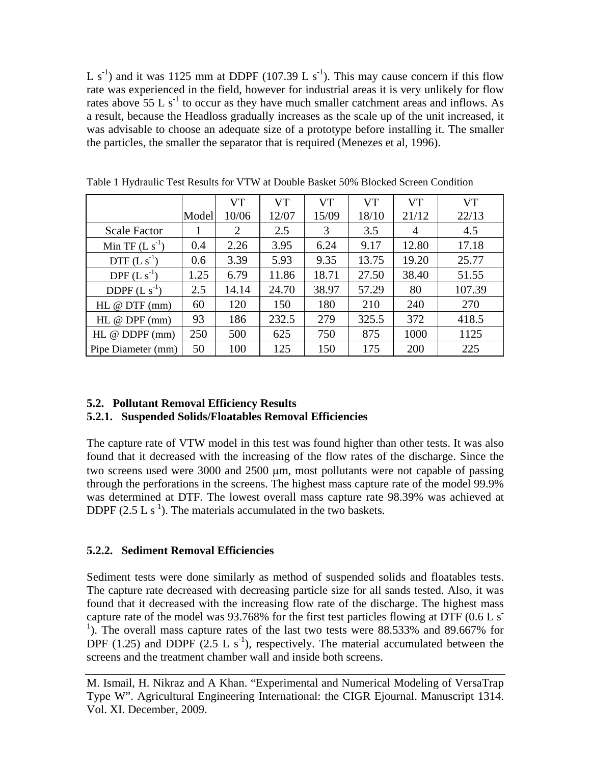L s<sup>-1</sup>) and it was 1125 mm at DDPF (107.39 L s<sup>-1</sup>). This may cause concern if this flow rate was experienced in the field, however for industrial areas it is very unlikely for flow rates above  $55 \text{ L s}^{-1}$  to occur as they have much smaller catchment areas and inflows. As a result, because the Headloss gradually increases as the scale up of the unit increased, it was advisable to choose an adequate size of a prototype before installing it. The smaller the particles, the smaller the separator that is required (Menezes et al, 1996).

|                        |       | <b>VT</b> | <b>VT</b> | <b>VT</b> | <b>VT</b> | <b>VT</b>      | <b>VT</b> |
|------------------------|-------|-----------|-----------|-----------|-----------|----------------|-----------|
|                        | Model | 10/06     | 12/07     | 15/09     | 18/10     | 21/12          | 22/13     |
| <b>Scale Factor</b>    |       | 2         | 2.5       | 3         | 3.5       | $\overline{4}$ | 4.5       |
| Min TF $(L s-1)$       | 0.4   | 2.26      | 3.95      | 6.24      | 9.17      | 12.80          | 17.18     |
| $DTF(L s-1)$           | 0.6   | 3.39      | 5.93      | 9.35      | 13.75     | 19.20          | 25.77     |
| DPF $(L s-1)$          | 1.25  | 6.79      | 11.86     | 18.71     | 27.50     | 38.40          | 51.55     |
| DDPF $(L s-1)$         | 2.5   | 14.14     | 24.70     | 38.97     | 57.29     | 80             | 107.39    |
| $HL \otimes DTF$ (mm)  | 60    | 120       | 150       | 180       | 210       | 240            | 270       |
| HL $@$ DPF $(mm)$      | 93    | 186       | 232.5     | 279       | 325.5     | 372            | 418.5     |
| $HL \otimes DDPF$ (mm) | 250   | 500       | 625       | 750       | 875       | 1000           | 1125      |
| Pipe Diameter (mm)     | 50    | 100       | 125       | 150       | 175       | 200            | 225       |

Table 1 Hydraulic Test Results for VTW at Double Basket 50% Blocked Screen Condition

# **5.2. Pollutant Removal Efficiency Results**

# **5.2.1. Suspended Solids/Floatables Removal Efficiencies**

The capture rate of VTW model in this test was found higher than other tests. It was also found that it decreased with the increasing of the flow rates of the discharge. Since the two screens used were 3000 and 2500 µm, most pollutants were not capable of passing through the perforations in the screens. The highest mass capture rate of the model 99.9% was determined at DTF. The lowest overall mass capture rate 98.39% was achieved at DDPF  $(2.5 L s<sup>-1</sup>)$ . The materials accumulated in the two baskets.

# **5.2.2. Sediment Removal Efficiencies**

Sediment tests were done similarly as method of suspended solids and floatables tests. The capture rate decreased with decreasing particle size for all sands tested. Also, it was found that it decreased with the increasing flow rate of the discharge. The highest mass capture rate of the model was 93.768% for the first test particles flowing at DTF  $(0.6 L s)$ <sup>1</sup>). The overall mass capture rates of the last two tests were 88.533% and 89.667% for DPF (1.25) and DDPF  $(2.5 L s<sup>-1</sup>)$ , respectively. The material accumulated between the screens and the treatment chamber wall and inside both screens.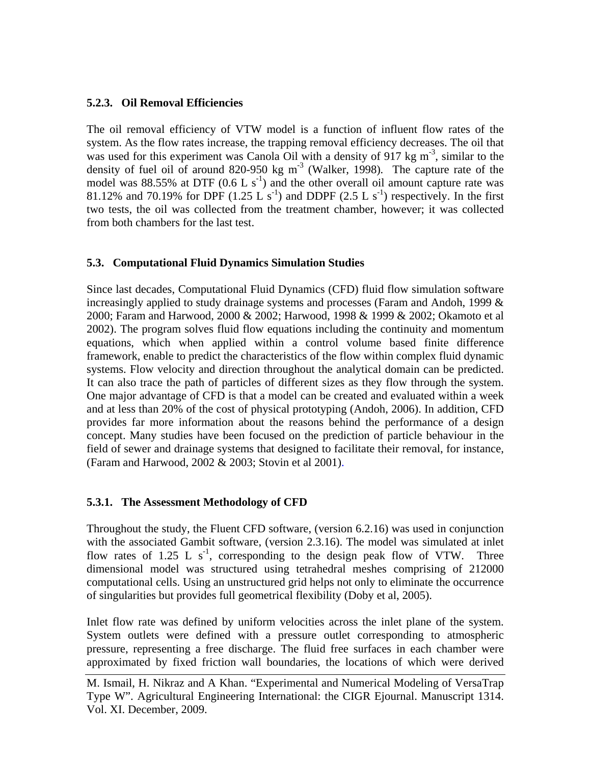# **5.2.3. Oil Removal Efficiencies**

The oil removal efficiency of VTW model is a function of influent flow rates of the system. As the flow rates increase, the trapping removal efficiency decreases. The oil that was used for this experiment was Canola Oil with a density of 917 kg  $m<sup>-3</sup>$ , similar to the density of fuel oil of around 820-950 kg m<sup>-3</sup> (Walker, 1998). The capture rate of the model was 88.55% at DTF  $(0.6 L s<sup>-1</sup>)$  and the other overall oil amount capture rate was 81.12% and 70.19% for DPF  $(1.25 \text{ L s}^{-1})$  and DDPF  $(2.5 \text{ L s}^{-1})$  respectively. In the first two tests, the oil was collected from the treatment chamber, however; it was collected from both chambers for the last test.

# **5.3. Computational Fluid Dynamics Simulation Studies**

Since last decades, Computational Fluid Dynamics (CFD) fluid flow simulation software increasingly applied to study drainage systems and processes (Faram and Andoh, 1999 & 2000; Faram and Harwood, 2000 & 2002; Harwood, 1998 & 1999 & 2002; Okamoto et al 2002). The program solves fluid flow equations including the continuity and momentum equations, which when applied within a control volume based finite difference framework, enable to predict the characteristics of the flow within complex fluid dynamic systems. Flow velocity and direction throughout the analytical domain can be predicted. It can also trace the path of particles of different sizes as they flow through the system. One major advantage of CFD is that a model can be created and evaluated within a week and at less than 20% of the cost of physical prototyping (Andoh, 2006). In addition, CFD provides far more information about the reasons behind the performance of a design concept. Many studies have been focused on the prediction of particle behaviour in the field of sewer and drainage systems that designed to facilitate their removal, for instance, (Faram and Harwood, 2002 & 2003; Stovin et al 2001).

# **5.3.1. The Assessment Methodology of CFD**

Throughout the study, the Fluent CFD software, (version 6.2.16) was used in conjunction with the associated Gambit software, (version 2.3.16). The model was simulated at inlet flow rates of 1.25 L  $s^{-1}$ , corresponding to the design peak flow of VTW. Three dimensional model was structured using tetrahedral meshes comprising of 212000 computational cells. Using an unstructured grid helps not only to eliminate the occurrence of singularities but provides full geometrical flexibility (Doby et al, 2005).

Inlet flow rate was defined by uniform velocities across the inlet plane of the system. System outlets were defined with a pressure outlet corresponding to atmospheric pressure, representing a free discharge. The fluid free surfaces in each chamber were approximated by fixed friction wall boundaries, the locations of which were derived

M. Ismail, H. Nikraz and A Khan. "Experimental and Numerical Modeling of VersaTrap Type W". Agricultural Engineering International: the CIGR Ejournal. Manuscript 1314. Vol. XI. December, 2009.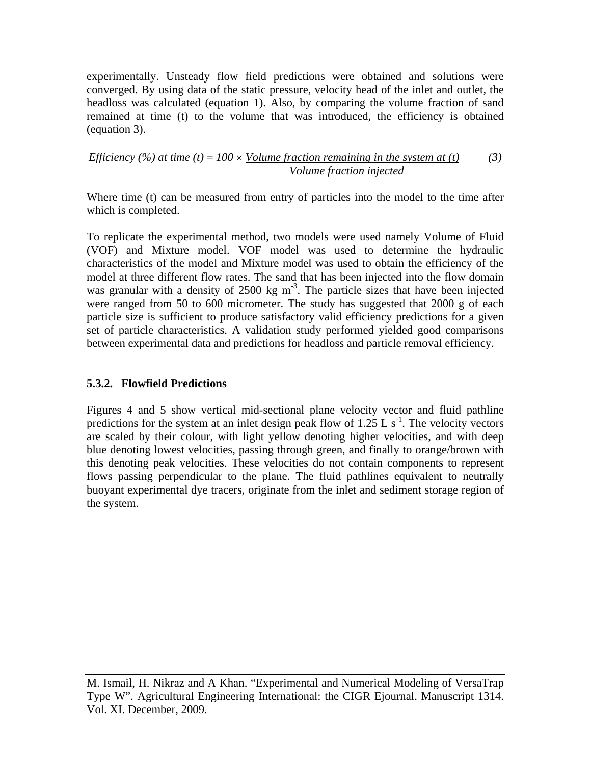experimentally. Unsteady flow field predictions were obtained and solutions were converged. By using data of the static pressure, velocity head of the inlet and outlet, the headloss was calculated (equation 1). Also, by comparing the volume fraction of sand remained at time (t) to the volume that was introduced, the efficiency is obtained (equation 3).

#### *Efficiency (%) at time (t)* =  $100 \times$  *Volume fraction remaining in the system at (t) Volume fraction injected (3)*

Where time (t) can be measured from entry of particles into the model to the time after which is completed.

To replicate the experimental method, two models were used namely Volume of Fluid (VOF) and Mixture model. VOF model was used to determine the hydraulic characteristics of the model and Mixture model was used to obtain the efficiency of the model at three different flow rates. The sand that has been injected into the flow domain was granular with a density of  $2500 \text{ kg m}^3$ . The particle sizes that have been injected were ranged from 50 to 600 micrometer. The study has suggested that 2000 g of each particle size is sufficient to produce satisfactory valid efficiency predictions for a given set of particle characteristics. A validation study performed yielded good comparisons between experimental data and predictions for headloss and particle removal efficiency.

# **5.3.2. Flowfield Predictions**

Figures 4 and 5 show vertical mid-sectional plane velocity vector and fluid pathline predictions for the system at an inlet design peak flow of  $1.25$  L s<sup>-1</sup>. The velocity vectors are scaled by their colour, with light yellow denoting higher velocities, and with deep blue denoting lowest velocities, passing through green, and finally to orange/brown with this denoting peak velocities. These velocities do not contain components to represent flows passing perpendicular to the plane. The fluid pathlines equivalent to neutrally buoyant experimental dye tracers, originate from the inlet and sediment storage region of the system.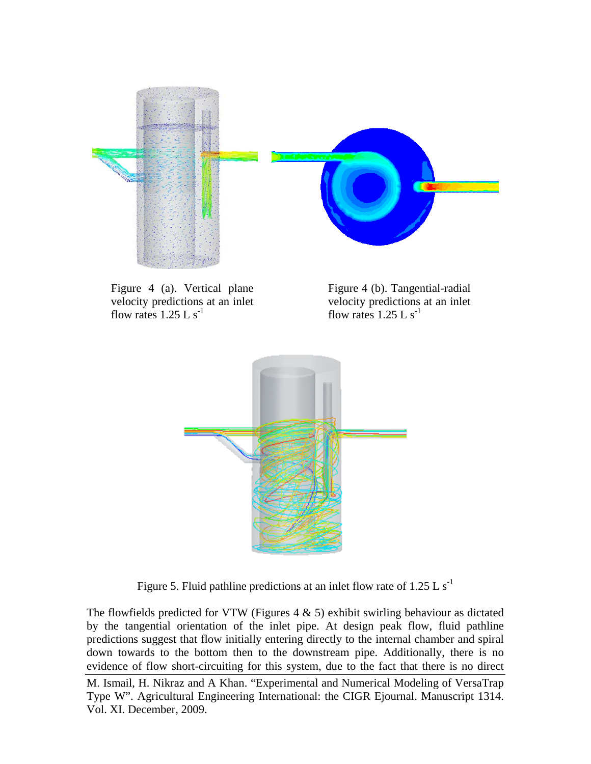

Figure 4 (a). Vertical plane velocity predictions at an inlet flow rates  $1.25$  L s<sup>-1</sup>

Figure 4 (b). Tangential-radial velocity predictions at an inlet flow rates  $1.25$  L s<sup>-1</sup>



Figure 5. Fluid pathline predictions at an inlet flow rate of 1.25 L  $s^{-1}$ 

The flowfields predicted for VTW (Figures  $4 \& 5$ ) exhibit swirling behaviour as dictated by the tangential orientation of the inlet pipe. At design peak flow, fluid pathline predictions suggest that flow initially entering directly to the internal chamber and spiral down towards to the bottom then to the downstream pipe. Additionally, there is no evidence of flow short-circuiting for this system, due to the fact that there is no direct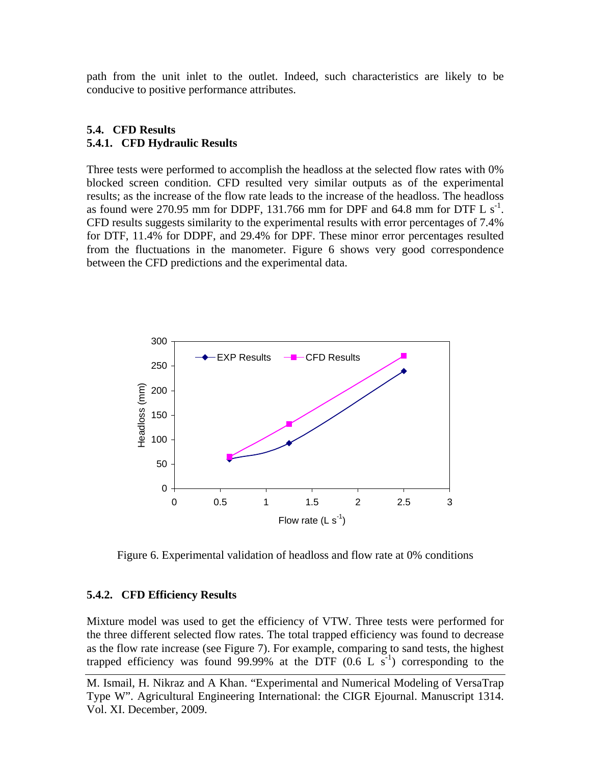path from the unit inlet to the outlet. Indeed, such characteristics are likely to be conducive to positive performance attributes.

# **5.4. CFD Results 5.4.1. CFD Hydraulic Results**

Three tests were performed to accomplish the headloss at the selected flow rates with 0% blocked screen condition. CFD resulted very similar outputs as of the experimental results; as the increase of the flow rate leads to the increase of the headloss. The headloss as found were 270.95 mm for DDPF, 131.766 mm for DPF and 64.8 mm for DTF L  $s^{-1}$ . CFD results suggests similarity to the experimental results with error percentages of 7.4% for DTF, 11.4% for DDPF, and 29.4% for DPF. These minor error percentages resulted from the fluctuations in the manometer. Figure 6 shows very good correspondence between the CFD predictions and the experimental data.



Figure 6. Experimental validation of headloss and flow rate at 0% conditions

#### **5.4.2. CFD Efficiency Results**

Mixture model was used to get the efficiency of VTW. Three tests were performed for the three different selected flow rates. The total trapped efficiency was found to decrease as the flow rate increase (see Figure 7). For example, comparing to sand tests, the highest trapped efficiency was found 99.99% at the DTF  $(0.6 \text{ L s}^{-1})$  corresponding to the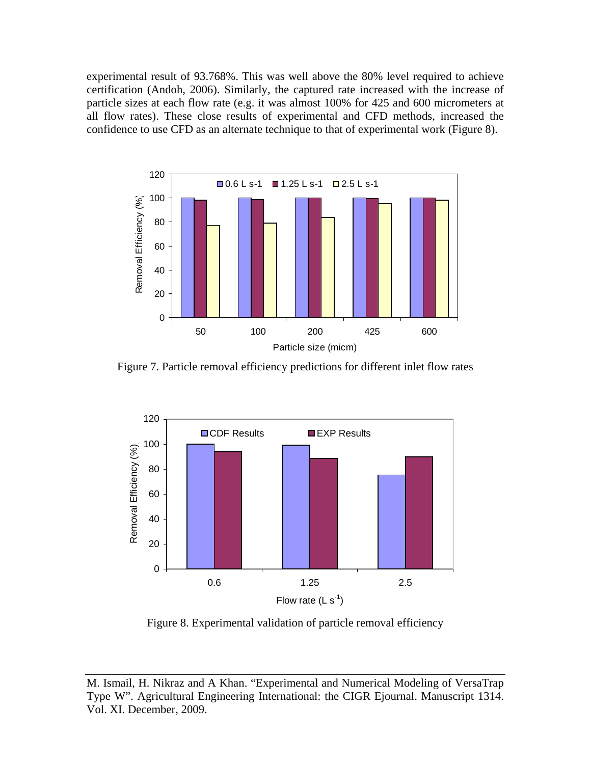experimental result of 93.768%. This was well above the 80% level required to achieve certification (Andoh, 2006). Similarly, the captured rate increased with the increase of particle sizes at each flow rate (e.g. it was almost 100% for 425 and 600 micrometers at all flow rates). These close results of experimental and CFD methods, increased the confidence to use CFD as an alternate technique to that of experimental work (Figure 8).



Figure 7. Particle removal efficiency predictions for different inlet flow rates



Figure 8. Experimental validation of particle removal efficiency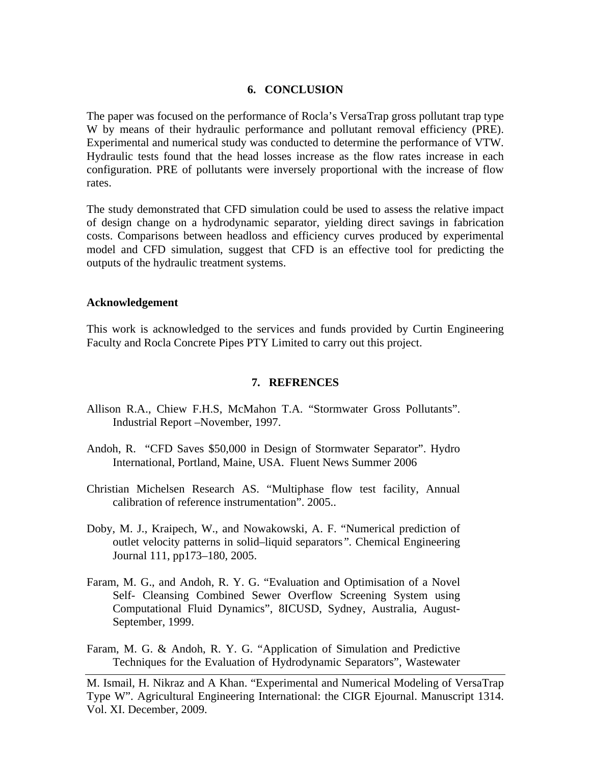#### **6. CONCLUSION**

The paper was focused on the performance of Rocla's VersaTrap gross pollutant trap type W by means of their hydraulic performance and pollutant removal efficiency (PRE). Experimental and numerical study was conducted to determine the performance of VTW. Hydraulic tests found that the head losses increase as the flow rates increase in each configuration. PRE of pollutants were inversely proportional with the increase of flow rates.

The study demonstrated that CFD simulation could be used to assess the relative impact of design change on a hydrodynamic separator, yielding direct savings in fabrication costs. Comparisons between headloss and efficiency curves produced by experimental model and CFD simulation, suggest that CFD is an effective tool for predicting the outputs of the hydraulic treatment systems.

#### **Acknowledgement**

This work is acknowledged to the services and funds provided by Curtin Engineering Faculty and Rocla Concrete Pipes PTY Limited to carry out this project.

# **7. REFRENCES**

- Allison R.A., Chiew F.H.S, McMahon T.A. "Stormwater Gross Pollutants". Industrial Report –November, 1997.
- Andoh, R. "CFD Saves \$50,000 in Design of Stormwater Separator". Hydro International, Portland, Maine, USA. Fluent News Summer 2006
- Christian Michelsen Research AS. "Multiphase flow test facility, Annual calibration of reference instrumentation". 2005..
- Doby, M. J., Kraipech, W., and Nowakowski, A. F. "Numerical prediction of outlet velocity patterns in solid–liquid separators*".* Chemical Engineering Journal 111, pp173–180, 2005.
- Faram, M. G., and Andoh, R. Y. G. "Evaluation and Optimisation of a Novel Self- Cleansing Combined Sewer Overflow Screening System using Computational Fluid Dynamics", 8ICUSD, Sydney, Australia, August-September, 1999.
- Faram, M. G. & Andoh, R. Y. G. "Application of Simulation and Predictive Techniques for the Evaluation of Hydrodynamic Separators", Wastewater

M. Ismail, H. Nikraz and A Khan. "Experimental and Numerical Modeling of VersaTrap Type W". Agricultural Engineering International: the CIGR Ejournal. Manuscript 1314. Vol. XI. December, 2009.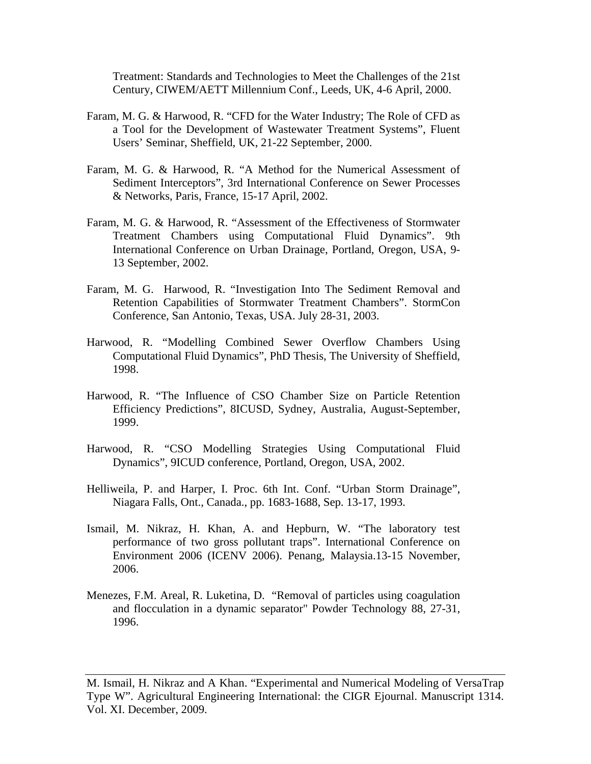Treatment: Standards and Technologies to Meet the Challenges of the 21st Century, CIWEM/AETT Millennium Conf., Leeds, UK, 4-6 April, 2000.

- Faram, M. G. & Harwood, R. "CFD for the Water Industry; The Role of CFD as a Tool for the Development of Wastewater Treatment Systems", Fluent Users' Seminar, Sheffield, UK, 21-22 September, 2000.
- Faram, M. G. & Harwood, R. "A Method for the Numerical Assessment of Sediment Interceptors", 3rd International Conference on Sewer Processes & Networks, Paris, France, 15-17 April, 2002.
- Faram, M. G. & Harwood, R. "Assessment of the Effectiveness of Stormwater Treatment Chambers using Computational Fluid Dynamics". 9th International Conference on Urban Drainage, Portland, Oregon, USA, 9- 13 September, 2002.
- Faram, M. G. Harwood, R. "Investigation Into The Sediment Removal and Retention Capabilities of Stormwater Treatment Chambers". StormCon Conference, San Antonio, Texas, USA. July 28-31, 2003.
- Harwood, R. "Modelling Combined Sewer Overflow Chambers Using Computational Fluid Dynamics", PhD Thesis, The University of Sheffield, 1998.
- Harwood, R. "The Influence of CSO Chamber Size on Particle Retention Efficiency Predictions", 8ICUSD, Sydney, Australia, August-September, 1999.
- Harwood, R. "CSO Modelling Strategies Using Computational Fluid Dynamics", 9ICUD conference, Portland, Oregon, USA, 2002.
- Helliweila, P. and Harper, I. Proc. 6th Int. Conf. "Urban Storm Drainage", Niagara Falls, Ont., Canada., pp. 1683-1688, Sep. 13-17, 1993.
- Ismail, M. Nikraz, H. Khan, A. and Hepburn, W. "The laboratory test performance of two gross pollutant traps". International Conference on Environment 2006 (ICENV 2006). Penang, Malaysia.13-15 November, 2006.
- Menezes, F.M. Areal, R. Luketina, D. "Removal of particles using coagulation and flocculation in a dynamic separator" Powder Technology 88, 27-31, 1996.